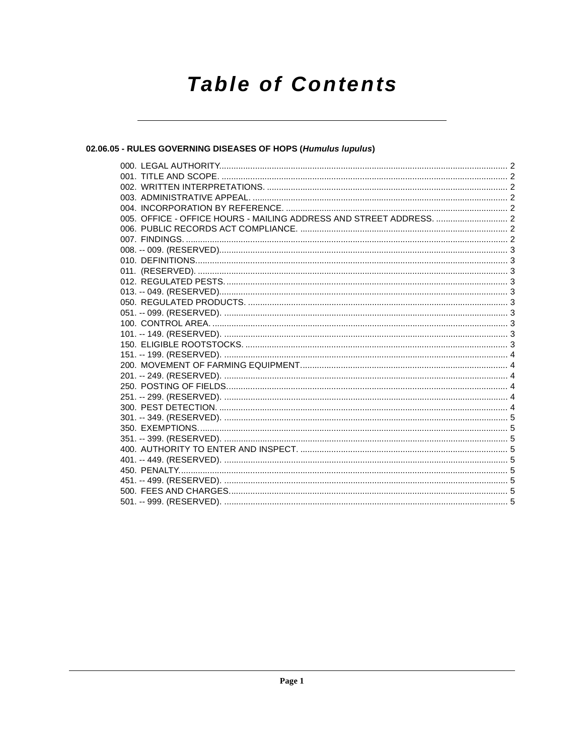# **Table of Contents**

# 02.06.05 - RULES GOVERNING DISEASES OF HOPS (Humulus lupulus)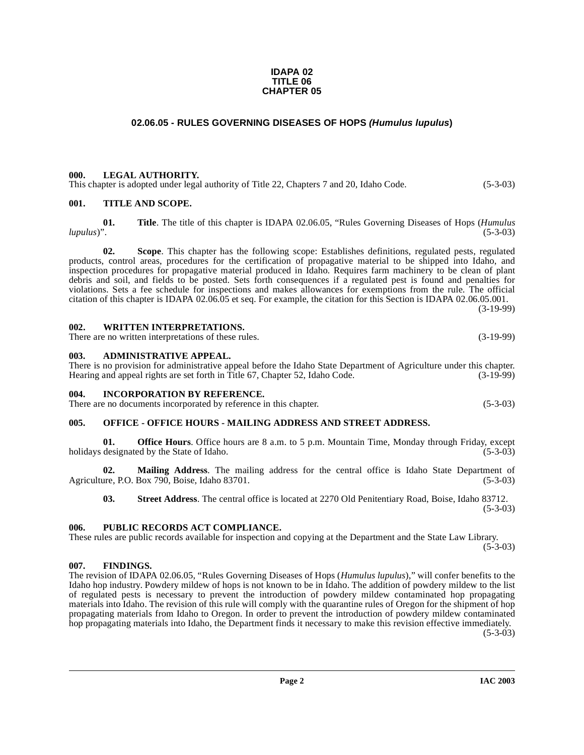#### **IDAPA 02 TITLE 06 CHAPTER 05**

# **02.06.05 - RULES GOVERNING DISEASES OF HOPS (Humulus lupulus)**

#### <span id="page-1-1"></span><span id="page-1-0"></span>**000. LEGAL AUTHORITY.**

This chapter is adopted under legal authority of Title 22, Chapters 7 and 20, Idaho Code. (5-3-03)

#### <span id="page-1-2"></span>**001. TITLE AND SCOPE.**

**01. Title**. The title of this chapter is IDAPA 02.06.05, "Rules Governing Diseases of Hops (*Humulus lupulus*)". (5-3-03)

**02. Scope**. This chapter has the following scope: Establishes definitions, regulated pests, regulated products, control areas, procedures for the certification of propagative material to be shipped into Idaho, and inspection procedures for propagative material produced in Idaho. Requires farm machinery to be clean of plant debris and soil, and fields to be posted. Sets forth consequences if a regulated pest is found and penalties for violations. Sets a fee schedule for inspections and makes allowances for exemptions from the rule. The official citation of this chapter is IDAPA 02.06.05 et seq. For example, the citation for this Section is IDAPA 02.06.05.001. (3-19-99)

<span id="page-1-3"></span>**002. WRITTEN INTERPRETATIONS.** There are no written interpretations of these rules. (3-19-99)

#### <span id="page-1-4"></span>**003. ADMINISTRATIVE APPEAL.**

There is no provision for administrative appeal before the Idaho State Department of Agriculture under this chapter. Hearing and appeal rights are set forth in Title 67, Chapter 52, Idaho Code. (3-19-99)

#### <span id="page-1-5"></span>**004. INCORPORATION BY REFERENCE.**

There are no documents incorporated by reference in this chapter. (5-3-03)

#### <span id="page-1-6"></span>**005. OFFICE - OFFICE HOURS - MAILING ADDRESS AND STREET ADDRESS.**

**01. Office Hours**. Office hours are 8 a.m. to 5 p.m. Mountain Time, Monday through Friday, except designated by the State of Idaho. (5-3-03) holidays designated by the State of Idaho.

**02. Mailing Address**. The mailing address for the central office is Idaho State Department of Agriculture, P.O. Box 790, Boise, Idaho 83701. (5-3-03)

**03. Street Address**. The central office is located at 2270 Old Penitentiary Road, Boise, Idaho 83712.

(5-3-03)

# <span id="page-1-7"></span>**006. PUBLIC RECORDS ACT COMPLIANCE.**

These rules are public records available for inspection and copying at the Department and the State Law Library.  $(5-3-03)$ 

# <span id="page-1-8"></span>**007. FINDINGS.**

The revision of IDAPA 02.06.05, "Rules Governing Diseases of Hops (*Humulus lupulus*)," will confer benefits to the Idaho hop industry. Powdery mildew of hops is not known to be in Idaho. The addition of powdery mildew to the list of regulated pests is necessary to prevent the introduction of powdery mildew contaminated hop propagating materials into Idaho. The revision of this rule will comply with the quarantine rules of Oregon for the shipment of hop propagating materials from Idaho to Oregon. In order to prevent the introduction of powdery mildew contaminated hop propagating materials into Idaho, the Department finds it necessary to make this revision effective immediately.

 $(5-3-03)$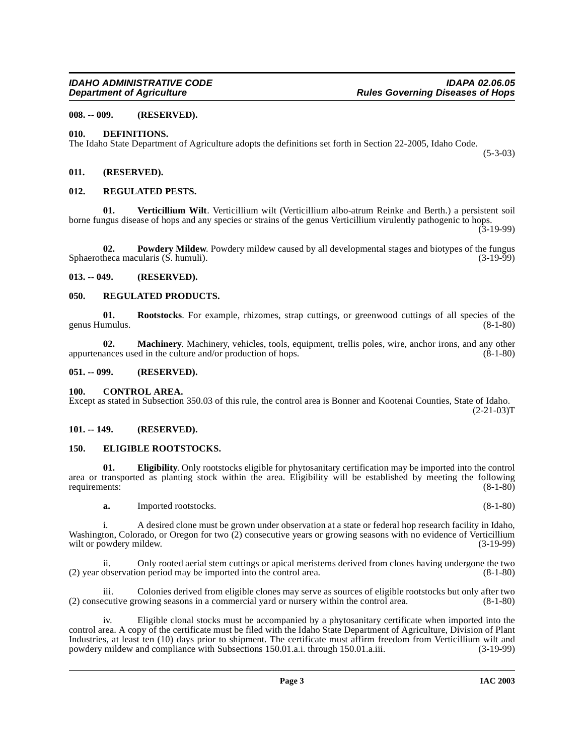# <span id="page-2-0"></span>**008. -- 009. (RESERVED).**

### <span id="page-2-11"></span><span id="page-2-1"></span>**010. DEFINITIONS.**

The Idaho State Department of Agriculture adopts the definitions set forth in Section 22-2005, Idaho Code.

(5-3-03)

#### <span id="page-2-2"></span>**011. (RESERVED).**

#### <span id="page-2-15"></span><span id="page-2-3"></span>**012. REGULATED PESTS.**

<span id="page-2-18"></span>**01. Verticillium Wilt**. Verticillium wilt (Verticillium albo-atrum Reinke and Berth.) a persistent soil borne fungus disease of hops and any species or strains of the genus Verticillium virulently pathogenic to hops.

 $(3-19-99)$ 

<span id="page-2-14"></span>**02. Powdery Mildew**. Powdery mildew caused by all developmental stages and biotypes of the fungus heca macularis (S. humuli). (3-19-99) Sphaerotheca macularis  $(S.$  humuli).

#### <span id="page-2-4"></span>**013. -- 049. (RESERVED).**

#### <span id="page-2-16"></span><span id="page-2-5"></span>**050. REGULATED PRODUCTS.**

<span id="page-2-17"></span>**01.** Rootstocks. For example, rhizomes, strap cuttings, or greenwood cuttings of all species of the unulus. (8-1-80) genus Humulus.

<span id="page-2-13"></span>**02.** Machinery. Machinery, vehicles, tools, equipment, trellis poles, wire, anchor irons, and any other ances used in the culture and/or production of hops. (8-1-80) appurtenances used in the culture and/or production of hops.

#### <span id="page-2-6"></span>**051. -- 099. (RESERVED).**

<span id="page-2-10"></span><span id="page-2-7"></span>**100. CONTROL AREA.**  Except as stated in Subsection 350.03 of this rule, the control area is Bonner and Kootenai Counties, State of Idaho.  $(2-21-03)T$ 

#### <span id="page-2-8"></span>**101. -- 149. (RESERVED).**

#### <span id="page-2-12"></span><span id="page-2-9"></span>**150. ELIGIBLE ROOTSTOCKS.**

**01. Eligibility**. Only rootstocks eligible for phytosanitary certification may be imported into the control area or transported as planting stock within the area. Eligibility will be established by meeting the following requirements: (8-1-80) requirements:

**a.** Imported rootstocks. (8-1-80)

i. A desired clone must be grown under observation at a state or federal hop research facility in Idaho, Washington, Colorado, or Oregon for two (2) consecutive years or growing seasons with no evidence of Verticillium wilt or powdery mildew. (3-19-99) wilt or powdery mildew.

Only rooted aerial stem cuttings or apical meristems derived from clones having undergone the two on period may be imported into the control area. (8-1-80)  $(2)$  year observation period may be imported into the control area.

iii. Colonies derived from eligible clones may serve as sources of eligible rootstocks but only after two (2) consecutive growing seasons in a commercial yard or nursery within the control area. (8-1-80)

iv. Eligible clonal stocks must be accompanied by a phytosanitary certificate when imported into the control area. A copy of the certificate must be filed with the Idaho State Department of Agriculture, Division of Plant Industries, at least ten (10) days prior to shipment. The certificate must affirm freedom from Verticillium wilt and powdery mildew and compliance with Subsections 150.01.a.i. through 150.01.a.iii. (3-19-99) powdery mildew and compliance with Subsections 150.01.a.i. through 150.01.a.iii.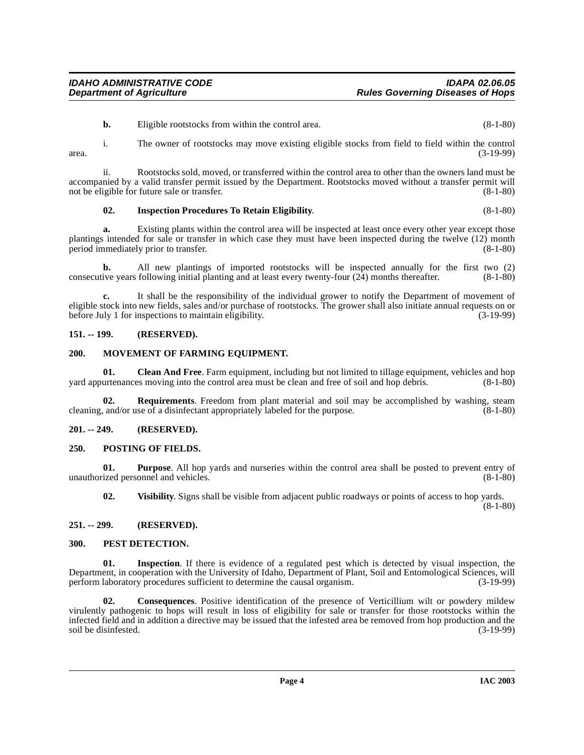**b.** Eligible rootstocks from within the control area. (8-1-80)

i. The owner of rootstocks may move existing eligible stocks from field to field within the control area. (3-19-99)

ii. Rootstocks sold, moved, or transferred within the control area to other than the owners land must be accompanied by a valid transfer permit issued by the Department. Rootstocks moved without a transfer permit will not be eligible for future sale or transfer. (8-1-80)

#### <span id="page-3-6"></span>**02. Inspection Procedures To Retain Eligibility**. (8-1-80)

**a.** Existing plants within the control area will be inspected at least once every other year except those plantings intended for sale or transfer in which case they must have been inspected during the twelve (12) month period immediately prior to transfer. (8-1-80)

**b.** All new plantings of imported rootstocks will be inspected annually for the first two (2) ive vears following initial planting and at least every twenty-four (24) months thereafter. (8-1-80) consecutive years following initial planting and at least every twenty-four  $(24)$  months thereafter.

**c.** It shall be the responsibility of the individual grower to notify the Department of movement of eligible stock into new fields, sales and/or purchase of rootstocks. The grower shall also initiate annual requests on or before July 1 for inspections to maintain eligibility. (3-19-99) before July 1 for inspections to maintain eligibility.

#### <span id="page-3-0"></span>**151. -- 199. (RESERVED).**

#### <span id="page-3-7"></span><span id="page-3-1"></span>**200. MOVEMENT OF FARMING EQUIPMENT.**

**01.** Clean And Free. Farm equipment, including but not limited to tillage equipment, vehicles and hop urtenances moving into the control area must be clean and free of soil and hop debris. (8-1-80) yard appurtenances moving into the control area must be clean and free of soil and hop debris.

**Requirements**. Freedom from plant material and soil may be accomplished by washing, steam use of a disinfectant appropriately labeled for the purpose. (8-1-80) cleaning, and/or use of a disinfectant appropriately labeled for the purpose.

# <span id="page-3-2"></span>**201. -- 249. (RESERVED).**

#### <span id="page-3-9"></span><span id="page-3-3"></span>**250. POSTING OF FIELDS.**

**01. Purpose**. All hop yards and nurseries within the control area shall be posted to prevent entry of unauthorized personnel and vehicles. (8-1-80)

**02. Visibility**. Signs shall be visible from adjacent public roadways or points of access to hop yards.

(8-1-80)

#### <span id="page-3-4"></span>**251. -- 299. (RESERVED).**

#### <span id="page-3-8"></span><span id="page-3-5"></span>**300. PEST DETECTION.**

**Inspection**. If there is evidence of a regulated pest which is detected by visual inspection, the Department, in cooperation with the University of Idaho, Department of Plant, Soil and Entomological Sciences, will perform laboratory procedures sufficient to determine the causal organism.

**02. Consequences**. Positive identification of the presence of Verticillium wilt or powdery mildew virulently pathogenic to hops will result in loss of eligibility for sale or transfer for those rootstocks within the infected field and in addition a directive may be issued that the infested area be removed from hop production and the soil be disinfested.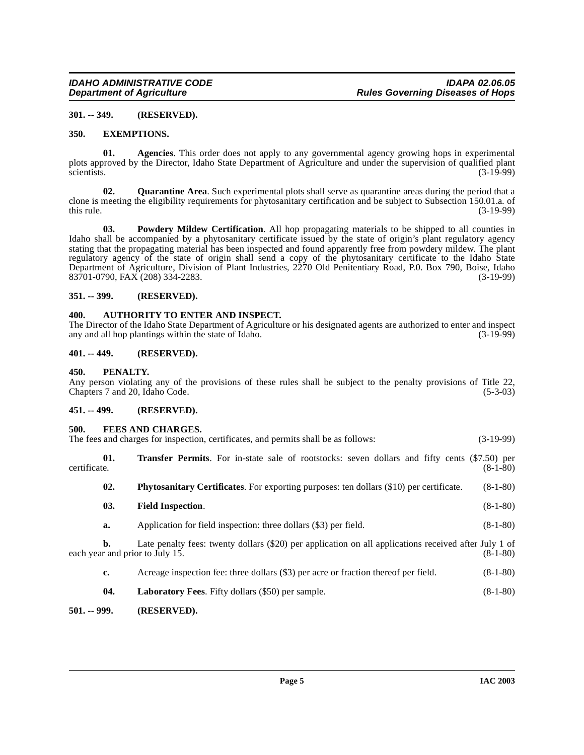#### <span id="page-4-0"></span>**301. -- 349. (RESERVED).**

#### <span id="page-4-10"></span><span id="page-4-1"></span>**350. EXEMPTIONS.**

**01. Agencies**. This order does not apply to any governmental agency growing hops in experimental plots approved by the Director, Idaho State Department of Agriculture and under the supervision of qualified plant<br>(3-19-99) scientists.  $(3-19-99)$ 

<span id="page-4-17"></span>**02. Quarantine Area**. Such experimental plots shall serve as quarantine areas during the period that a clone is meeting the eligibility requirements for phytosanitary certification and be subject to Subsection 150.01.a. of this rule. (3-19-99) this rule.  $(3-19-99)$ 

<span id="page-4-16"></span>**03. Powdery Mildew Certification**. All hop propagating materials to be shipped to all counties in Idaho shall be accompanied by a phytosanitary certificate issued by the state of origin's plant regulatory agency stating that the propagating material has been inspected and found apparently free from powdery mildew. The plant regulatory agency of the state of origin shall send a copy of the phytosanitary certificate to the Idaho State Department of Agriculture, Division of Plant Industries, 2270 Old Penitentiary Road, P.0. Box 790, Boise, Idaho<br>83701-0790, FAX (208) 334-2283. (3-19-99) 83701-0790, FAX (208) 334-2283.

#### <span id="page-4-2"></span>**351. -- 399. (RESERVED).**

# <span id="page-4-9"></span><span id="page-4-3"></span>**400. AUTHORITY TO ENTER AND INSPECT.**

The Director of the Idaho State Department of Agriculture or his designated agents are authorized to enter and inspect any and all hop plantings within the state of Idaho. (3-19-99) any and all hop plantings within the state of Idaho.

#### <span id="page-4-4"></span>**401. -- 449. (RESERVED).**

#### <span id="page-4-14"></span><span id="page-4-5"></span>**450. PENALTY.**

Any person violating any of the provisions of these rules shall be subject to the penalty provisions of Title 22, Chapters 7 and 20, Idaho Code. (5-3-03) Chapters 7 and 20, Idaho Code.

#### <span id="page-4-6"></span>**451. -- 499. (RESERVED).**

# <span id="page-4-11"></span><span id="page-4-7"></span>**500. FEES AND CHARGES.**<br>The fees and charges for inspection

<span id="page-4-18"></span><span id="page-4-15"></span><span id="page-4-12"></span>

| $(3-19-99)$<br>The fees and charges for inspection, certificates, and permits shall be as follows: |     |                                                                                                                                          |            |
|----------------------------------------------------------------------------------------------------|-----|------------------------------------------------------------------------------------------------------------------------------------------|------------|
| certificate.                                                                                       | 01. | <b>Transfer Permits.</b> For in-state sale of rootstocks: seven dollars and fifty cents (\$7.50) per                                     | $(8-1-80)$ |
|                                                                                                    | 02. | <b>Phytosanitary Certificates.</b> For exporting purposes: ten dollars (\$10) per certificate.                                           | $(8-1-80)$ |
|                                                                                                    | 03. | <b>Field Inspection.</b>                                                                                                                 | $(8-1-80)$ |
|                                                                                                    | a.  | Application for field inspection: three dollars (\$3) per field.                                                                         | $(8-1-80)$ |
|                                                                                                    | b.  | Late penalty fees: twenty dollars (\$20) per application on all applications received after July 1 of<br>each year and prior to July 15. | $(8-1-80)$ |
|                                                                                                    | c.  | Acreage inspection fee: three dollars (\$3) per acre or fraction thereof per field.                                                      | $(8-1-80)$ |
|                                                                                                    | 04. | Laboratory Fees. Fifty dollars (\$50) per sample.                                                                                        | $(8-1-80)$ |

# <span id="page-4-13"></span><span id="page-4-8"></span>**501. -- 999. (RESERVED).**